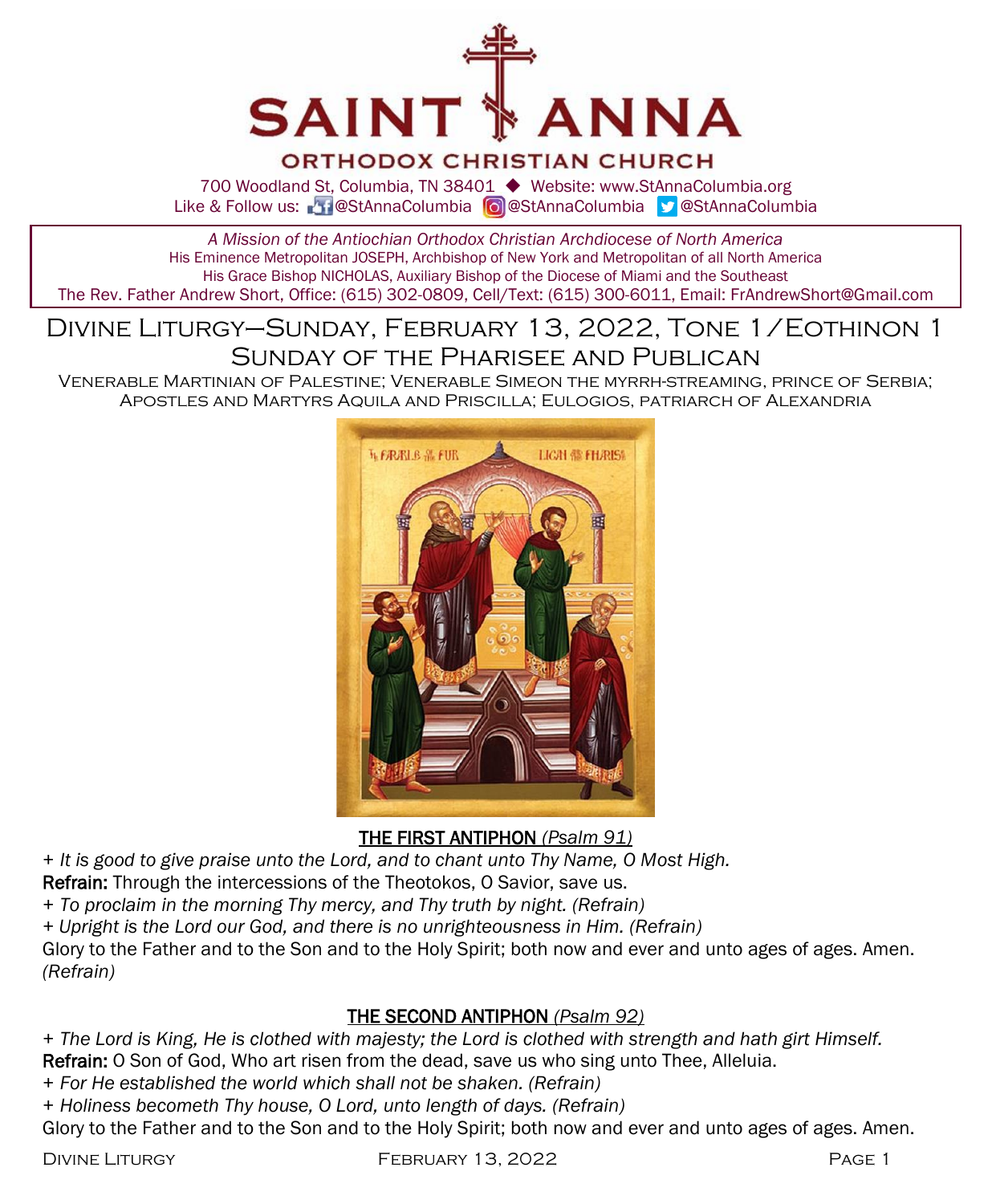

#### **ORTHODOX CHRISTIAN CHURCH**

700 Woodland St, Columbia, TN 38401 ◆ Website: www.StAnnaColumbia.org Like & Follow us: 20 @StAnnaColumbia **@**StAnnaColumbia **@StAnnaColumbia** 

*A Mission of the Antiochian Orthodox Christian Archdiocese of North America* His Eminence Metropolitan JOSEPH, Archbishop of New York and Metropolitan of all North America His Grace Bishop NICHOLAS, Auxiliary Bishop of the Diocese of Miami and the Southeast The Rev. Father Andrew Short, Office: (615) 302-0809, Cell/Text: (615) 300-6011, Email: FrAndrewShort@Gmail.com

## Divine Liturgy–Sunday, February 13, 2022, Tone 1/Eothinon 1 Sunday of the Pharisee and Publican

Venerable Martinian of Palestine; Venerable Simeon the myrrh-streaming, prince of Serbia; Apostles and Martyrs Aquila and Priscilla; Eulogios, patriarch of Alexandria



THE FIRST ANTIPHON *(Psalm 91)*

*+ It is good to give praise unto the Lord, and to chant unto Thy Name, O Most High.*

Refrain: Through the intercessions of the Theotokos, O Savior, save us.

*+ To proclaim in the morning Thy mercy, and Thy truth by night. (Refrain)*

*+ Upright is the Lord our God, and there is no unrighteousness in Him. (Refrain)*

Glory to the Father and to the Son and to the Holy Spirit; both now and ever and unto ages of ages. Amen. *(Refrain)*

#### THE SECOND ANTIPHON *(Psalm 92)*

*+ The Lord is King, He is clothed with majesty; the Lord is clothed with strength and hath girt Himself.* Refrain: O Son of God, Who art risen from the dead, save us who sing unto Thee, Alleluia.

- *+ For He established the world which shall not be shaken. (Refrain)*
- *+ Holiness becometh Thy house, O Lord, unto length of days. (Refrain)*

Glory to the Father and to the Son and to the Holy Spirit; both now and ever and unto ages of ages. Amen.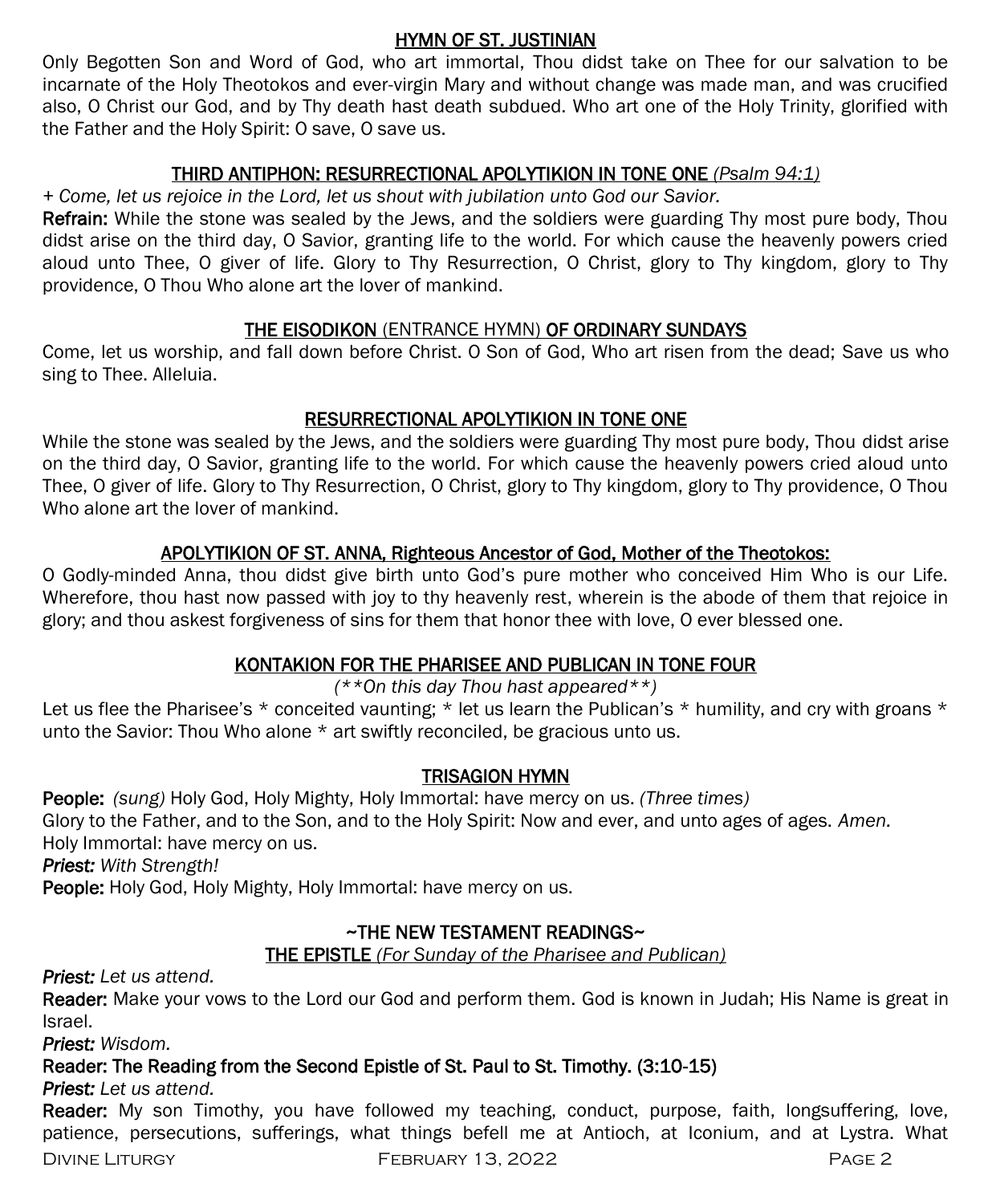#### HYMN OF ST. JUSTINIAN

Only Begotten Son and Word of God, who art immortal, Thou didst take on Thee for our salvation to be incarnate of the Holy Theotokos and ever-virgin Mary and without change was made man, and was crucified also, O Christ our God, and by Thy death hast death subdued. Who art one of the Holy Trinity, glorified with the Father and the Holy Spirit: O save, O save us.

#### THIRD ANTIPHON: RESURRECTIONAL APOLYTIKION IN TONE ONE *(Psalm 94:1)*

*+ Come, let us rejoice in the Lord, let us shout with jubilation unto God our Savior.* 

Refrain: While the stone was sealed by the Jews, and the soldiers were guarding Thy most pure body, Thou didst arise on the third day, O Savior, granting life to the world. For which cause the heavenly powers cried aloud unto Thee, O giver of life. Glory to Thy Resurrection, O Christ, glory to Thy kingdom, glory to Thy providence, O Thou Who alone art the lover of mankind.

#### THE EISODIKON (ENTRANCE HYMN) OF ORDINARY SUNDAYS

Come, let us worship, and fall down before Christ. O Son of God, Who art risen from the dead; Save us who sing to Thee. Alleluia.

#### RESURRECTIONAL APOLYTIKION IN TONE ONE

While the stone was sealed by the Jews, and the soldiers were guarding Thy most pure body, Thou didst arise on the third day, O Savior, granting life to the world. For which cause the heavenly powers cried aloud unto Thee, O giver of life. Glory to Thy Resurrection, O Christ, glory to Thy kingdom, glory to Thy providence, O Thou Who alone art the lover of mankind.

#### APOLYTIKION OF ST. ANNA, Righteous Ancestor of God, Mother of the Theotokos:

O Godly-minded Anna, thou didst give birth unto God's pure mother who conceived Him Who is our Life. Wherefore, thou hast now passed with joy to thy heavenly rest, wherein is the abode of them that rejoice in glory; and thou askest forgiveness of sins for them that honor thee with love, O ever blessed one.

#### KONTAKION FOR THE PHARISEE AND PUBLICAN IN TONE FOUR

#### *(\*\*On this day Thou hast appeared\*\*)*

Let us flee the Pharisee's  $*$  conceited vaunting;  $*$  let us learn the Publican's  $*$  humility, and cry with groans  $*$ unto the Savior: Thou Who alone \* art swiftly reconciled, be gracious unto us.

#### TRISAGION HYMN

People: *(sung)* Holy God, Holy Mighty, Holy Immortal: have mercy on us. *(Three times)* 

Glory to the Father, and to the Son, and to the Holy Spirit: Now and ever, and unto ages of ages. *Amen.* 

Holy Immortal: have mercy on us.

*Priest: With Strength!*

People: Holy God, Holy Mighty, Holy Immortal: have mercy on us.

### ~THE NEW TESTAMENT READINGS~

THE EPISTLE *(For Sunday of the Pharisee and Publican)* 

*Priest: Let us attend.*

Reader: Make your vows to the Lord our God and perform them. God is known in Judah; His Name is great in Israel.

*Priest: Wisdom.*

## Reader: The Reading from the Second Epistle of St. Paul to St. Timothy. (3:10-15)

*Priest: Let us attend.*

Reader: My son Timothy, you have followed my teaching, conduct, purpose, faith, longsuffering, love, patience, persecutions, sufferings, what things befell me at Antioch, at Iconium, and at Lystra. What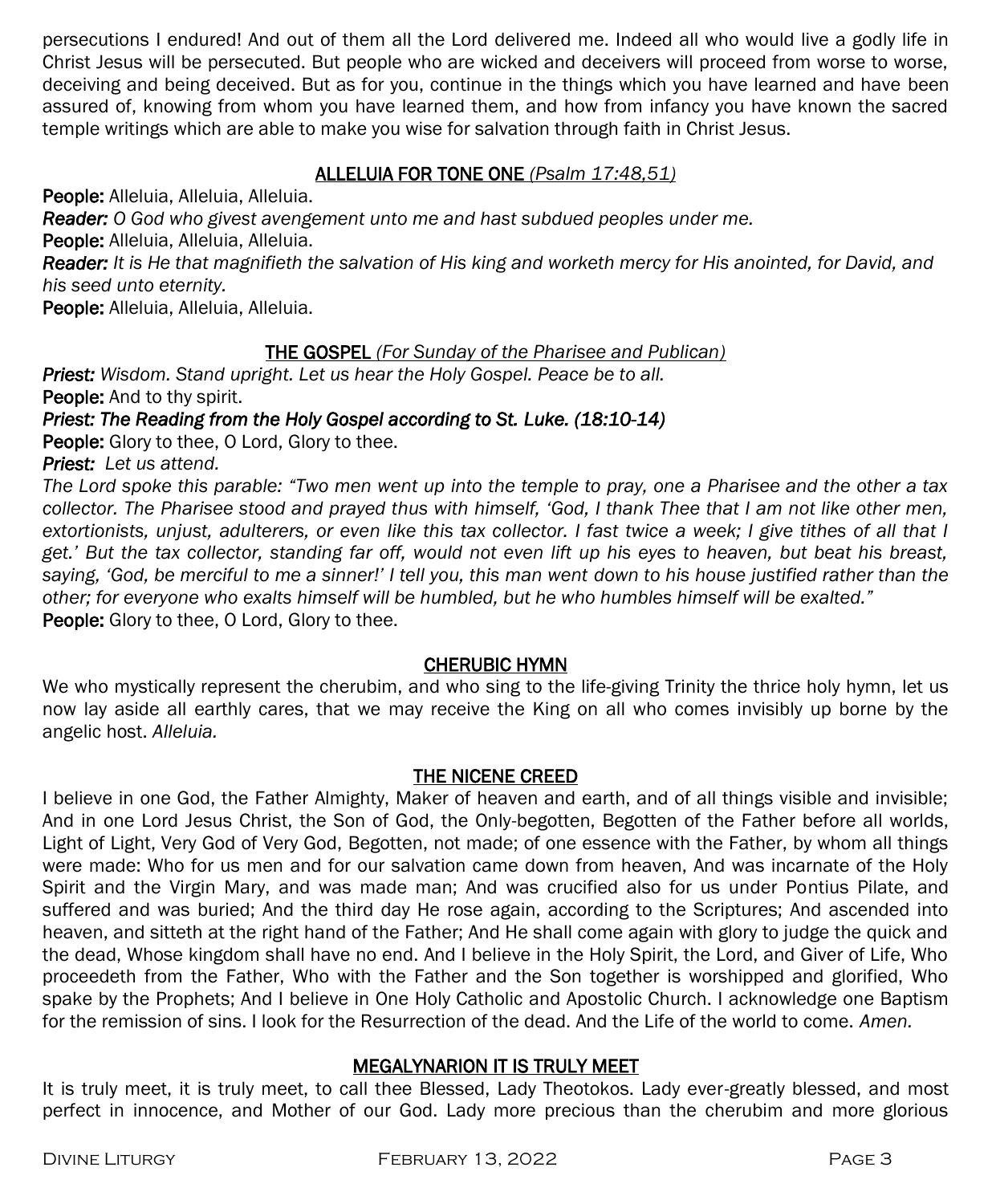persecutions I endured! And out of them all the Lord delivered me. Indeed all who would live a godly life in Christ Jesus will be persecuted. But people who are wicked and deceivers will proceed from worse to worse, deceiving and being deceived. But as for you, continue in the things which you have learned and have been assured of, knowing from whom you have learned them, and how from infancy you have known the sacred temple writings which are able to make you wise for salvation through faith in Christ Jesus.

#### ALLELUIA FOR TONE ONE *(Psalm 17:48,51)*

People: Alleluia, Alleluia, Alleluia. *Reader: O God who givest avengement unto me and hast subdued peoples under me.* People: Alleluia, Alleluia, Alleluia. *Reader: It is He that magnifieth the salvation of His king and worketh mercy for His anointed, for David, and his seed unto eternity.*

People: Alleluia, Alleluia, Alleluia.

#### THE GOSPEL *(For Sunday of the Pharisee and Publican)*

*Priest: Wisdom. Stand upright. Let us hear the Holy Gospel. Peace be to all.* People: And to thy spirit.

#### *Priest: The Reading from the Holy Gospel according to St. Luke. (18:10-14)*

People: Glory to thee, O Lord, Glory to thee.

*Priest: Let us attend.* 

*The Lord spoke this parable: "Two men went up into the temple to pray, one a Pharisee and the other a tax collector. The Pharisee stood and prayed thus with himself, 'God, I thank Thee that I am not like other men, extortionists, unjust, adulterers, or even like this tax collector. I fast twice a week; I give tithes of all that I get.' But the tax collector, standing far off, would not even lift up his eyes to heaven, but beat his breast, saying, 'God, be merciful to me a sinner!' I tell you, this man went down to his house justified rather than the other; for everyone who exalts himself will be humbled, but he who humbles himself will be exalted."* People: Glory to thee, O Lord, Glory to thee.

#### CHERUBIC HYMN

We who mystically represent the cherubim, and who sing to the life-giving Trinity the thrice holy hymn, let us now lay aside all earthly cares, that we may receive the King on all who comes invisibly up borne by the angelic host. *Alleluia.*

#### THE NICENE CREED

I believe in one God, the Father Almighty, Maker of heaven and earth, and of all things visible and invisible; And in one Lord Jesus Christ, the Son of God, the Only-begotten, Begotten of the Father before all worlds, Light of Light, Very God of Very God, Begotten, not made; of one essence with the Father, by whom all things were made: Who for us men and for our salvation came down from heaven, And was incarnate of the Holy Spirit and the Virgin Mary, and was made man; And was crucified also for us under Pontius Pilate, and suffered and was buried; And the third day He rose again, according to the Scriptures; And ascended into heaven, and sitteth at the right hand of the Father; And He shall come again with glory to judge the quick and the dead, Whose kingdom shall have no end. And I believe in the Holy Spirit, the Lord, and Giver of Life, Who proceedeth from the Father, Who with the Father and the Son together is worshipped and glorified, Who spake by the Prophets; And I believe in One Holy Catholic and Apostolic Church. I acknowledge one Baptism for the remission of sins. I look for the Resurrection of the dead. And the Life of the world to come. *Amen.*

#### MEGALYNARION IT IS TRULY MEET

It is truly meet, it is truly meet, to call thee Blessed, Lady Theotokos. Lady ever-greatly blessed, and most perfect in innocence, and Mother of our God. Lady more precious than the cherubim and more glorious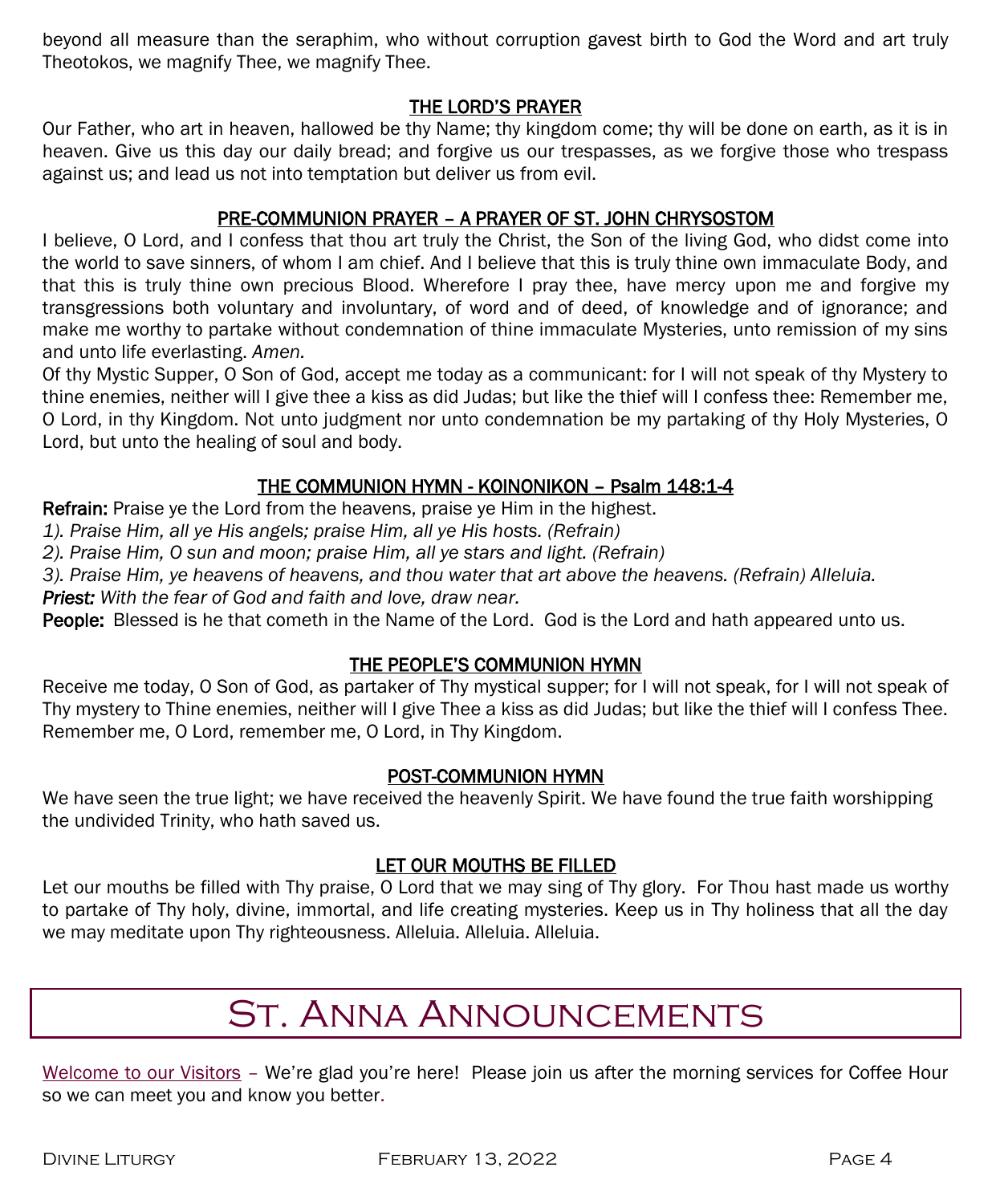beyond all measure than the seraphim, who without corruption gavest birth to God the Word and art truly Theotokos, we magnify Thee, we magnify Thee.

#### THE LORD'S PRAYER

Our Father, who art in heaven, hallowed be thy Name; thy kingdom come; thy will be done on earth, as it is in heaven. Give us this day our daily bread; and forgive us our trespasses, as we forgive those who trespass against us; and lead us not into temptation but deliver us from evil.

#### PRE-COMMUNION PRAYER – A PRAYER OF ST. JOHN CHRYSOSTOM

I believe, O Lord, and I confess that thou art truly the Christ, the Son of the living God, who didst come into the world to save sinners, of whom I am chief. And I believe that this is truly thine own immaculate Body, and that this is truly thine own precious Blood. Wherefore I pray thee, have mercy upon me and forgive my transgressions both voluntary and involuntary, of word and of deed, of knowledge and of ignorance; and make me worthy to partake without condemnation of thine immaculate Mysteries, unto remission of my sins and unto life everlasting. *Amen.*

Of thy Mystic Supper, O Son of God, accept me today as a communicant: for I will not speak of thy Mystery to thine enemies, neither will I give thee a kiss as did Judas; but like the thief will I confess thee: Remember me, O Lord, in thy Kingdom. Not unto judgment nor unto condemnation be my partaking of thy Holy Mysteries, O Lord, but unto the healing of soul and body.

#### THE COMMUNION HYMN - KOINONIKON – Psalm 148:1-4

Refrain: Praise ye the Lord from the heavens, praise ye Him in the highest.

*1). Praise Him, all ye His angels; praise Him, all ye His hosts. (Refrain)*

*2). Praise Him, O sun and moon; praise Him, all ye stars and light. (Refrain)*

*3). Praise Him, ye heavens of heavens, and thou water that art above the heavens. (Refrain) Alleluia.* 

*Priest: With the fear of God and faith and love, draw near.*

People: Blessed is he that cometh in the Name of the Lord. God is the Lord and hath appeared unto us.

#### THE PEOPLE'S COMMUNION HYMN

Receive me today, O Son of God, as partaker of Thy mystical supper; for I will not speak, for I will not speak of Thy mystery to Thine enemies, neither will I give Thee a kiss as did Judas; but like the thief will I confess Thee. Remember me, O Lord, remember me, O Lord, in Thy Kingdom.

#### POST-COMMUNION HYMN

We have seen the true light; we have received the heavenly Spirit. We have found the true faith worshipping the undivided Trinity, who hath saved us.

#### LET OUR MOUTHS BE FILLED

Let our mouths be filled with Thy praise, O Lord that we may sing of Thy glory. For Thou hast made us worthy to partake of Thy holy, divine, immortal, and life creating mysteries. Keep us in Thy holiness that all the day we may meditate upon Thy righteousness. Alleluia. Alleluia. Alleluia.

# St. Anna Announcements

Welcome to our Visitors – We're glad you're here! Please join us after the morning services for Coffee Hour so we can meet you and know you better.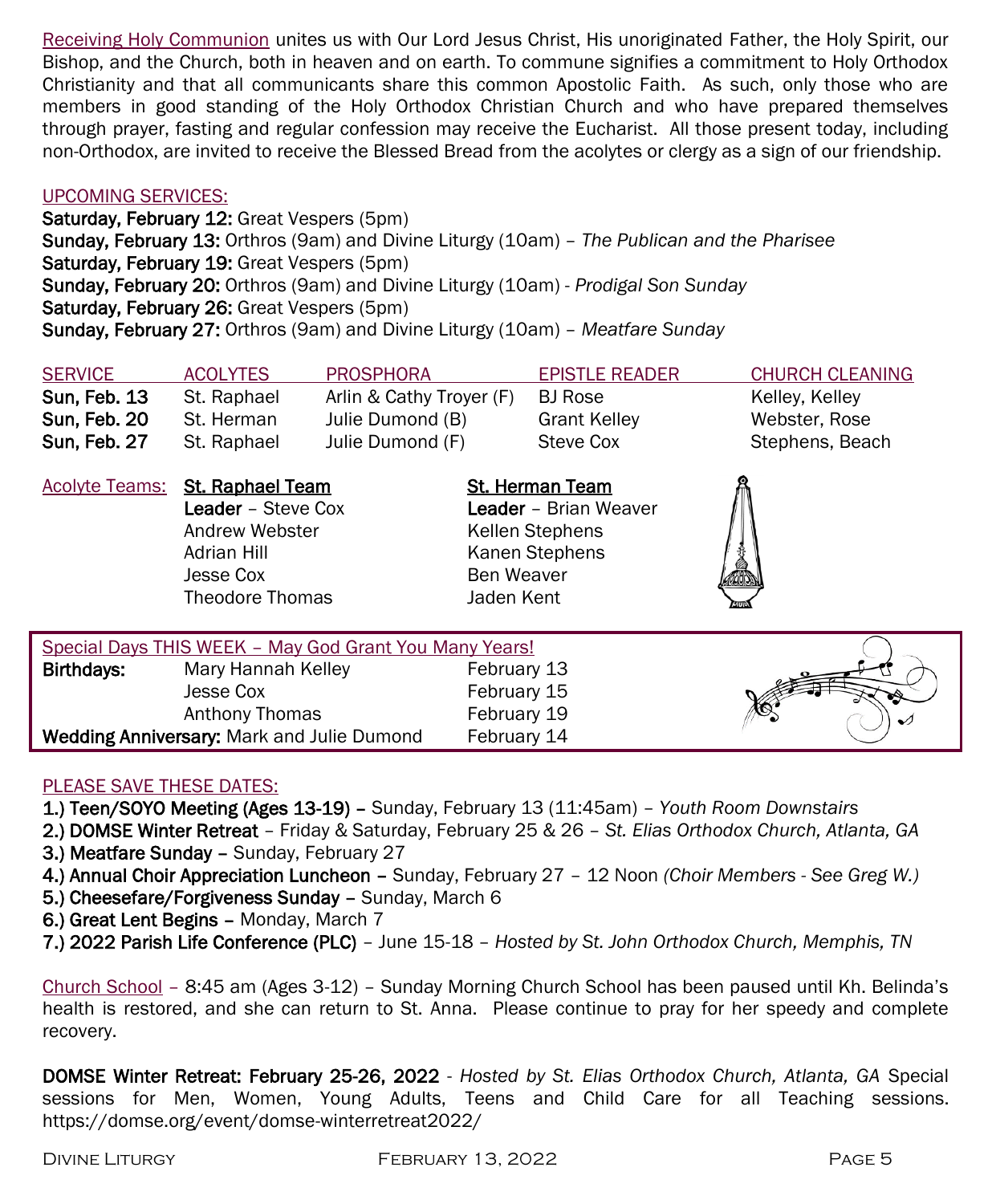Receiving Holy Communion unites us with Our Lord Jesus Christ, His unoriginated Father, the Holy Spirit, our Bishop, and the Church, both in heaven and on earth. To commune signifies a commitment to Holy Orthodox Christianity and that all communicants share this common Apostolic Faith. As such, only those who are members in good standing of the Holy Orthodox Christian Church and who have prepared themselves through prayer, fasting and regular confession may receive the Eucharist. All those present today, including non-Orthodox, are invited to receive the Blessed Bread from the acolytes or clergy as a sign of our friendship.

#### UPCOMING SERVICES:

Saturday, February 12: Great Vespers (5pm) Sunday, February 13: Orthros (9am) and Divine Liturgy (10am) – *The Publican and the Pharisee* Saturday, February 19: Great Vespers (5pm) Sunday, February 20: Orthros (9am) and Divine Liturgy (10am) - *Prodigal Son Sunday* Saturday, February 26: Great Vespers (5pm) Sunday, February 27: Orthros (9am) and Divine Liturgy (10am) – *Meatfare Sunday*

| <b>SERVICE</b> | <b>ACOLYTES</b> | <b>PROSPHORA</b>         | <b>EPISTLE READER</b> | CHURCH CLEANING |
|----------------|-----------------|--------------------------|-----------------------|-----------------|
| Sun Feb 13     | St. Raphael     | Arlin & Cathy Trover (F) | BJ Rose               | Kelley, Kelley  |
| Sun, Feb. 20   | St. Herman      | Julie Dumond (B)         | <b>Grant Kelley</b>   | Webster, Rose   |
| Sun, Feb. 27   | St. Raphael     | Julie Dumond (F)         | Steve Cox             | Stephens, Beach |

|            | <b>Acolyte Teams: St. Raphael Team</b><br><b>Leader</b> – Steve Cox<br>Andrew Webster<br>Adrian Hill<br>Jesse Cox<br>Theodore Thomas | <b>St. Herman Team</b><br><b>Leader</b> - Brian Weaver<br>Kellen Stephens<br>Kanen Stephens<br><b>Ben Weaver</b><br>Jaden Kent |  |
|------------|--------------------------------------------------------------------------------------------------------------------------------------|--------------------------------------------------------------------------------------------------------------------------------|--|
|            | Special Days THIS WEEK - May God Grant You Many Years!                                                                               |                                                                                                                                |  |
| Birthdays: | Mary Hannah Kelley                                                                                                                   | February 13                                                                                                                    |  |
|            |                                                                                                                                      |                                                                                                                                |  |

| Birthdays:                                        | Mary Hannah Kelley | February 13 |  |
|---------------------------------------------------|--------------------|-------------|--|
|                                                   | Jesse Cox          | February 15 |  |
|                                                   | Anthony Thomas     | February 19 |  |
| <b>Wedding Anniversary:</b> Mark and Julie Dumond |                    | February 14 |  |

#### PLEASE SAVE THESE DATES:

- 1.) Teen/SOYO Meeting (Ages 13-19) Sunday, February 13 (11:45am) *Youth Room Downstairs*
- 2.) DOMSE Winter Retreat Friday & Saturday, February 25 & 26 *St. Elias Orthodox Church, Atlanta, GA* 3.) Meatfare Sunday - Sunday, February 27
- 4.) Annual Choir Appreciation Luncheon Sunday, February 27 12 Noon *(Choir Members - See Greg W.)*
- 5.) Cheesefare/Forgiveness Sunday Sunday, March 6
- 6.) Great Lent Begins Monday, March 7
- 7.) 2022 Parish Life Conference (PLC) June 15-18 *Hosted by St. John Orthodox Church, Memphis, TN*

Church School – 8:45 am (Ages 3-12) – Sunday Morning Church School has been paused until Kh. Belinda's health is restored, and she can return to St. Anna. Please continue to pray for her speedy and complete recovery.

DOMSE Winter Retreat: February 25-26, 2022 - *Hosted by St. Elias Orthodox Church, Atlanta, GA* Special sessions for Men, Women, Young Adults, Teens and Child Care for all Teaching sessions. https://domse.org/event/domse-winterretreat2022/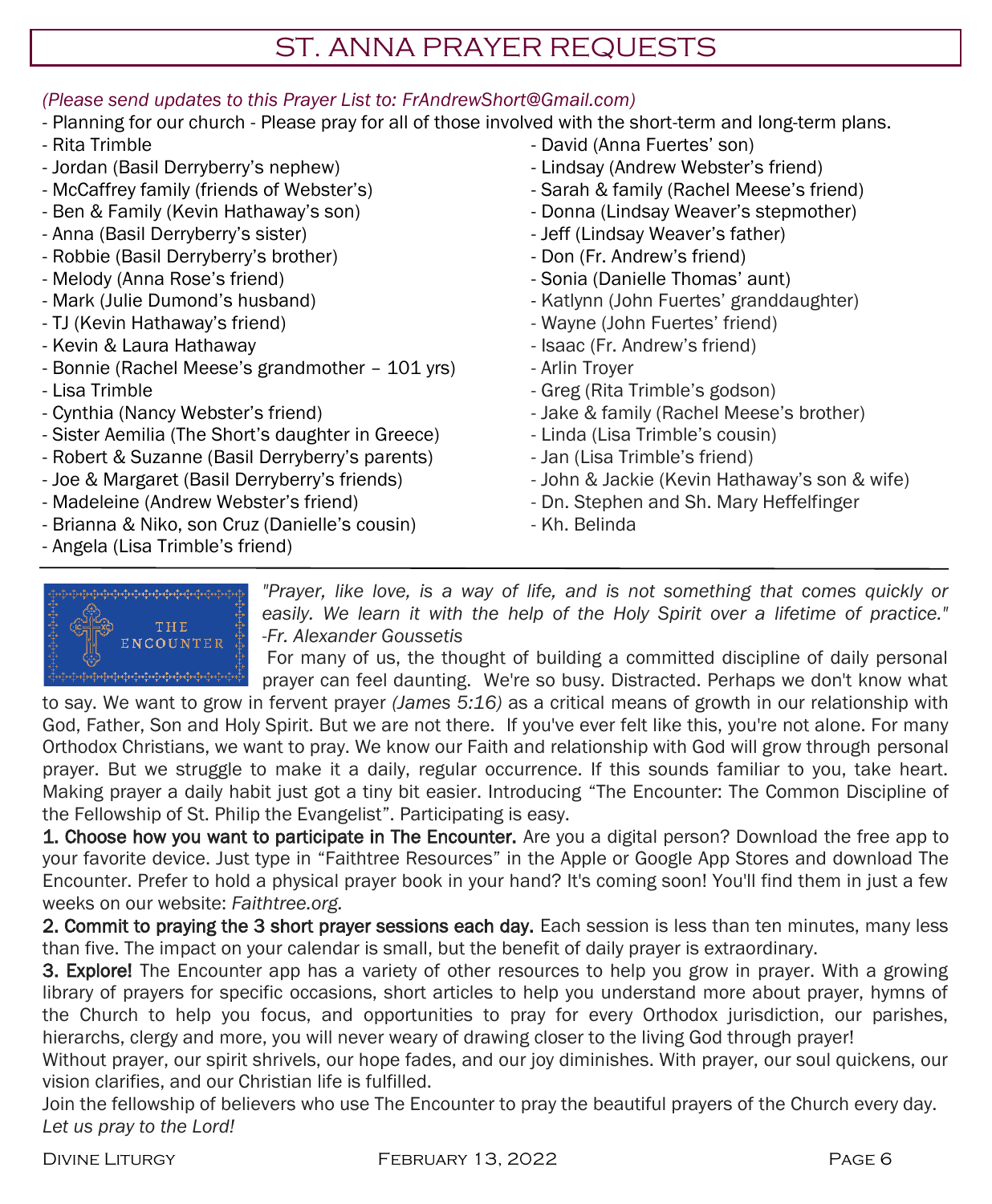# ST. ANNA PRAYER REQUESTS

#### *(Please send updates to this Prayer List to: FrAndrewShort@Gmail.com)*

- Planning for our church Please pray for all of those involved with the short-term and long-term plans.
- Rita Trimble
- Jordan (Basil Derryberry's nephew)
- McCaffrey family (friends of Webster's)
- Ben & Family (Kevin Hathaway's son)
- Anna (Basil Derryberry's sister)
- Robbie (Basil Derryberry's brother)
- Melody (Anna Rose's friend)
- Mark (Julie Dumond's husband)
- TJ (Kevin Hathaway's friend)
- Kevin & Laura Hathaway
- Bonnie (Rachel Meese's grandmother 101 yrs)
- Lisa Trimble
- Cynthia (Nancy Webster's friend)
- Sister Aemilia (The Short's daughter in Greece)
- Robert & Suzanne (Basil Derryberry's parents)
- Joe & Margaret (Basil Derryberry's friends)
- Madeleine (Andrew Webster's friend)
- Brianna & Niko, son Cruz (Danielle's cousin)
- Angela (Lisa Trimble's friend)
- David (Anna Fuertes' son)
- Lindsay (Andrew Webster's friend)
- Sarah & family (Rachel Meese's friend)
- Donna (Lindsay Weaver's stepmother)
- Jeff (Lindsay Weaver's father)
- Don (Fr. Andrew's friend)
- Sonia (Danielle Thomas' aunt)
- Katlynn (John Fuertes' granddaughter)
- Wayne (John Fuertes' friend)
- Isaac (Fr. Andrew's friend)
- Arlin Troyer
- Greg (Rita Trimble's godson)
- Jake & family (Rachel Meese's brother)
- Linda (Lisa Trimble's cousin)
- Jan (Lisa Trimble's friend)
- John & Jackie (Kevin Hathaway's son & wife)
- Dn. Stephen and Sh. Mary Heffelfinger
- Kh. Belinda



*"Prayer, like love, is a way of life, and is not something that comes quickly or easily. We learn it with the help of the Holy Spirit over a lifetime of practice." -Fr. Alexander Goussetis*

For many of us, the thought of building a committed discipline of daily personal prayer can feel daunting. We're so busy. Distracted. Perhaps we don't know what

to say. We want to grow in fervent prayer *(James 5:16)* as a critical means of growth in our relationship with God, Father, Son and Holy Spirit. But we are not there. If you've ever felt like this, you're not alone. For many Orthodox Christians, we want to pray. We know our Faith and relationship with God will grow through personal prayer. But we struggle to make it a daily, regular occurrence. If this sounds familiar to you, take heart. Making prayer a daily habit just got a tiny bit easier. Introducing "The Encounter: The Common Discipline of the Fellowship of St. Philip the Evangelist". Participating is easy.

1. Choose how you want to participate in The Encounter. Are you a digital person? Download the free app to your favorite device. Just type in "Faithtree Resources" in the Apple or Google App Stores and download The Encounter. Prefer to hold a physical prayer book in your hand? It's coming soon! You'll find them in just a few weeks on our website: *Faithtree.org.* 

2. Commit to praying the 3 short prayer sessions each day. Each session is less than ten minutes, many less than five. The impact on your calendar is small, but the benefit of daily prayer is extraordinary.

3. Explore! The Encounter app has a variety of other resources to help you grow in prayer. With a growing library of prayers for specific occasions, short articles to help you understand more about prayer, hymns of the Church to help you focus, and opportunities to pray for every Orthodox jurisdiction, our parishes, hierarchs, clergy and more, you will never weary of drawing closer to the living God through prayer!

Without prayer, our spirit shrivels, our hope fades, and our joy diminishes. With prayer, our soul quickens, our vision clarifies, and our Christian life is fulfilled.

Join the fellowship of believers who use The Encounter to pray the beautiful prayers of the Church every day. *Let us pray to the Lord!*